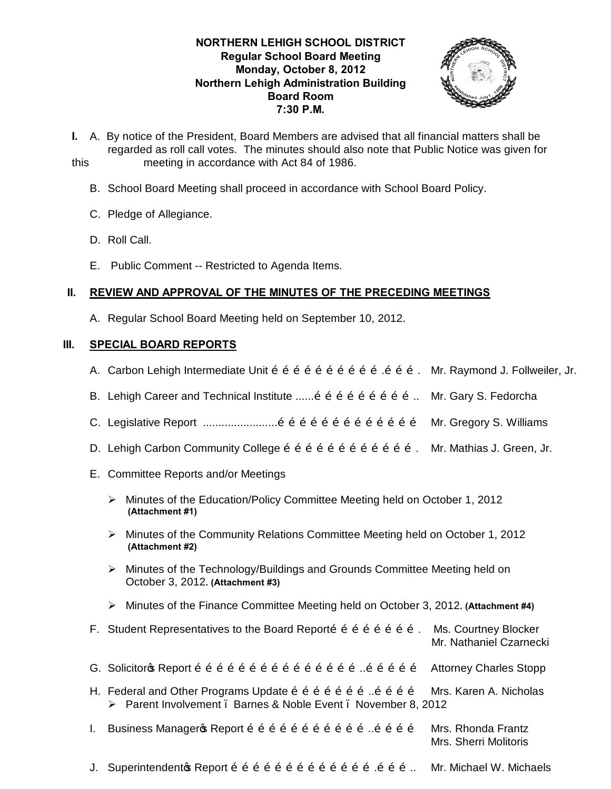## **NORTHERN LEHIGH SCHOOL DISTRICT Regular School Board Meeting Monday, October 8, 2012 Northern Lehigh Administration Building Board Room 7:30 P.M.**



- **I.** A. By notice of the President, Board Members are advised that all financial matters shall be regarded as roll call votes. The minutes should also note that Public Notice was given for this meeting in accordance with Act 84 of 1986.
	- B. School Board Meeting shall proceed in accordance with School Board Policy.
	- C. Pledge of Allegiance.
	- D. Roll Call.
	- E. Public Comment -- Restricted to Agenda Items.

## **II. REVIEW AND APPROVAL OF THE MINUTES OF THE PRECEDING MEETINGS**

A. Regular School Board Meeting held on September 10, 2012.

#### **III. SPECIAL BOARD REPORTS**

- A. Carbon Lehigh Intermediate Unit õ õ õ õ õ õ õ õ õ õ õ õ õ õ … Mr. Raymond J. Follweiler, Jr.
- B. Lehigh Career and Technical Institute  $\ldots$  on  $\tilde{0}$  of  $\tilde{0}$  of  $\tilde{0}$  of  $\tilde{0}$ . Mr. Gary S. Fedorcha
- C. Legislative Report  $\ldots$  $\ldots$  $\ldots$  $\ldots$  $\ldots$  $\ldots$  on  $\tilde{o}$  o  $\tilde{o}$  o  $\tilde{o}$  o  $\tilde{o}$  o  $\tilde{o}$  o  $\tilde{o}$  Mr. Gregory S. Williams
- D. Lehigh Carbon Community College õ õ õ õ õ õ õ õ õ õ õ õ õ. Mr. Mathias J. Green, Jr.
- E. Committee Reports and/or Meetings
	- $\triangleright$  Minutes of the Education/Policy Committee Meeting held on October 1, 2012  **(Attachment #1)**
	- ÿ Minutes of the Community Relations Committee Meeting held on October 1, 2012  **(Attachment #2)**
	- ÿ Minutes of the Technology/Buildings and Grounds Committee Meeting held on October 3, 2012**. (Attachment #3)**
	- ÿ Minutes of the Finance Committee Meeting held on October 3, 2012**. (Attachment #4)**

|              | F. Student Representatives to the Board Reporto $\tilde{0}$ o $\tilde{0}$ o $\tilde{0}$ o $\tilde{0}$ o $\tilde{0}$ .                                                                                                          | Ms. Courtney Blocker<br>Mr. Nathaniel Czarnecki |
|--------------|--------------------------------------------------------------------------------------------------------------------------------------------------------------------------------------------------------------------------------|-------------------------------------------------|
|              |                                                                                                                                                                                                                                | <b>Attorney Charles Stopp</b>                   |
|              | H. Federal and Other Programs Update $\tilde{o}$ $\tilde{o}$ $\tilde{o}$ $\tilde{o}$ $\tilde{o}$ $\tilde{o}$ $\tilde{o}$ $\tilde{o}$ $\tilde{o}$ $\tilde{o}$<br>▶ Parent Involvement . Barnes & Noble Event . November 8, 2012 | Mrs. Karen A. Nicholas                          |
| $\mathbf{L}$ | Business Manageros Report õ õ õ õ õ õ õ õ õ õ õ õ. õ õ õ õ õ                                                                                                                                                                   | Mrs. Rhonda Frantz<br>Mrs. Sherri Molitoris     |
|              |                                                                                                                                                                                                                                | Mr. Michael W. Michaels                         |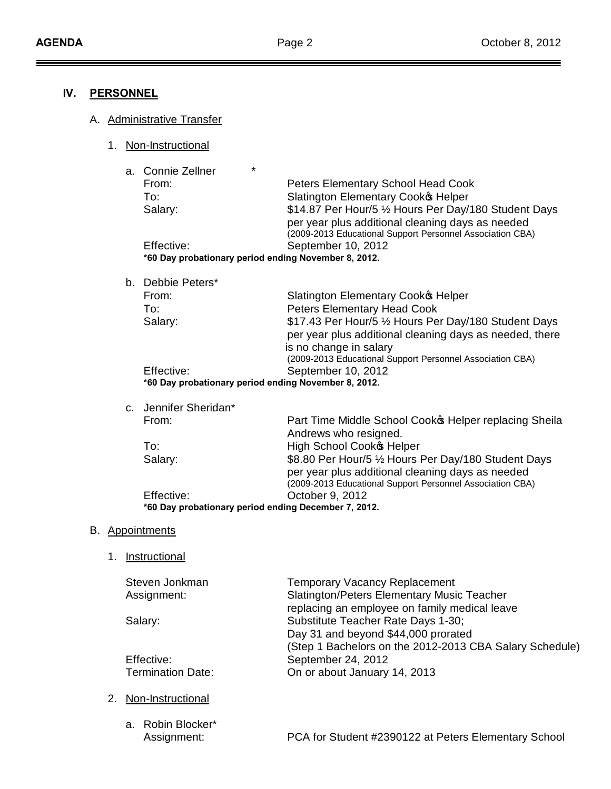$\equiv$ 

## **IV. PERSONNEL**

- A. Administrative Transfer
	- 1. Non-Instructional
		- a. Connie Zellner \*

| <b>OVILLIC CEILIGI</b>                               |                                                                                                                                                                        |  |
|------------------------------------------------------|------------------------------------------------------------------------------------------------------------------------------------------------------------------------|--|
| From:                                                | Peters Elementary School Head Cook                                                                                                                                     |  |
| To:                                                  | <b>Slatington Elementary Cook® Helper</b>                                                                                                                              |  |
| Salary:                                              | \$14.87 Per Hour/5 1/2 Hours Per Day/180 Student Days<br>per year plus additional cleaning days as needed<br>(2009-2013 Educational Support Personnel Association CBA) |  |
| Effective:                                           | September 10, 2012                                                                                                                                                     |  |
| *60 Day probationary period ending November 8, 2012. |                                                                                                                                                                        |  |
|                                                      |                                                                                                                                                                        |  |

b. Debbie Peters\*

| From:                                                | <b>Slatington Elementary Cook® Helper</b>                 |  |  |
|------------------------------------------------------|-----------------------------------------------------------|--|--|
| To:                                                  | <b>Peters Elementary Head Cook</b>                        |  |  |
| Salary:                                              | \$17.43 Per Hour/5 1/2 Hours Per Day/180 Student Days     |  |  |
|                                                      | per year plus additional cleaning days as needed, there   |  |  |
|                                                      | is no change in salary                                    |  |  |
|                                                      | (2009-2013 Educational Support Personnel Association CBA) |  |  |
| Effective:                                           | September 10, 2012                                        |  |  |
| *60 Day probationary period ending November 8, 2012. |                                                           |  |  |

| c. Jennifer Sheridan*                                |                                                                                                          |  |
|------------------------------------------------------|----------------------------------------------------------------------------------------------------------|--|
| From:                                                | Part Time Middle School Cooko Helper replacing Sheila<br>Andrews who resigned.                           |  |
| To:                                                  | High School Cooko Helper                                                                                 |  |
| Salary:                                              | \$8.80 Per Hour/5 1/2 Hours Per Day/180 Student Days<br>per year plus additional cleaning days as needed |  |
|                                                      | (2009-2013 Educational Support Personnel Association CBA)                                                |  |
| Effective:                                           | October 9, 2012                                                                                          |  |
| *60 Day probationary period ending December 7, 2012. |                                                                                                          |  |

#### B. Appointments

1. Instructional

| Steven Jonkman           | <b>Temporary Vacancy Replacement</b>                    |
|--------------------------|---------------------------------------------------------|
| Assignment:              | <b>Slatington/Peters Elementary Music Teacher</b>       |
|                          | replacing an employee on family medical leave           |
| Salary:                  | Substitute Teacher Rate Days 1-30;                      |
|                          | Day 31 and beyond \$44,000 prorated                     |
|                          | (Step 1 Bachelors on the 2012-2013 CBA Salary Schedule) |
| Effective:               | September 24, 2012                                      |
| <b>Termination Date:</b> | On or about January 14, 2013                            |
|                          |                                                         |

- 2. Non-Instructional
	- a. Robin Blocker\* Assignment: PCA for Student #2390122 at Peters Elementary School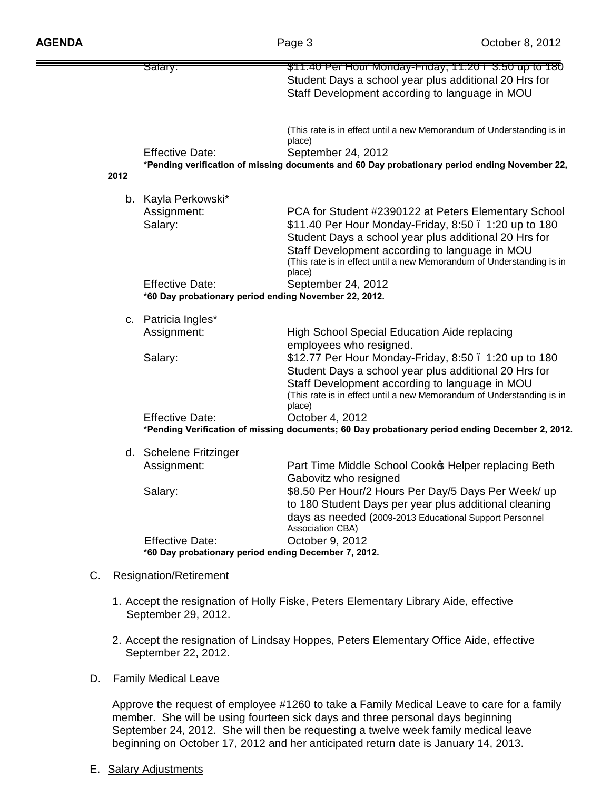|                                                                                                 | <del>Salary:</del>                                    | \$11.40 Per Hour Monday-Friday, 11:20 . 3:50 up to 180                                        |
|-------------------------------------------------------------------------------------------------|-------------------------------------------------------|-----------------------------------------------------------------------------------------------|
|                                                                                                 |                                                       | Student Days a school year plus additional 20 Hrs for                                         |
|                                                                                                 |                                                       | Staff Development according to language in MOU                                                |
|                                                                                                 |                                                       |                                                                                               |
|                                                                                                 |                                                       | (This rate is in effect until a new Memorandum of Understanding is in<br>place)               |
|                                                                                                 | <b>Effective Date:</b>                                | September 24, 2012                                                                            |
|                                                                                                 |                                                       | *Pending verification of missing documents and 60 Day probationary period ending November 22, |
| 2012                                                                                            |                                                       |                                                                                               |
|                                                                                                 | b. Kayla Perkowski*                                   |                                                                                               |
|                                                                                                 | Assignment:                                           | PCA for Student #2390122 at Peters Elementary School                                          |
|                                                                                                 | Salary:                                               | \$11.40 Per Hour Monday-Friday, 8:50 . 1:20 up to 180                                         |
|                                                                                                 |                                                       | Student Days a school year plus additional 20 Hrs for                                         |
|                                                                                                 |                                                       | Staff Development according to language in MOU                                                |
|                                                                                                 |                                                       | (This rate is in effect until a new Memorandum of Understanding is in                         |
|                                                                                                 | <b>Effective Date:</b>                                | place)<br>September 24, 2012                                                                  |
|                                                                                                 | *60 Day probationary period ending November 22, 2012. |                                                                                               |
|                                                                                                 | c. Patricia Ingles*                                   |                                                                                               |
|                                                                                                 | Assignment:                                           | High School Special Education Aide replacing                                                  |
|                                                                                                 |                                                       | employees who resigned.                                                                       |
|                                                                                                 | Salary:                                               | \$12.77 Per Hour Monday-Friday, 8:50 . 1:20 up to 180                                         |
|                                                                                                 |                                                       | Student Days a school year plus additional 20 Hrs for                                         |
|                                                                                                 |                                                       | Staff Development according to language in MOU                                                |
|                                                                                                 |                                                       | (This rate is in effect until a new Memorandum of Understanding is in                         |
|                                                                                                 |                                                       | place)                                                                                        |
|                                                                                                 | <b>Effective Date:</b>                                | October 4, 2012                                                                               |
| *Pending Verification of missing documents; 60 Day probationary period ending December 2, 2012. |                                                       |                                                                                               |
|                                                                                                 | d. Schelene Fritzinger                                |                                                                                               |
|                                                                                                 | Assignment:                                           | Part Time Middle School Cooko Helper replacing Beth                                           |
|                                                                                                 |                                                       | Gabovitz who resigned                                                                         |
|                                                                                                 | Salary:                                               | \$8.50 Per Hour/2 Hours Per Day/5 Days Per Week/ up                                           |
|                                                                                                 |                                                       | to 180 Student Days per year plus additional cleaning                                         |
|                                                                                                 |                                                       | days as needed (2009-2013 Educational Support Personnel<br>Association CBA)                   |
|                                                                                                 | <b>Effective Date:</b>                                | October 9, 2012                                                                               |
|                                                                                                 | *60 Day probationary period ending December 7, 2012.  |                                                                                               |
|                                                                                                 |                                                       |                                                                                               |
| C.                                                                                              | <b>Resignation/Retirement</b>                         |                                                                                               |

- 1. Accept the resignation of Holly Fiske, Peters Elementary Library Aide, effective September 29, 2012.
- 2. Accept the resignation of Lindsay Hoppes, Peters Elementary Office Aide, effective September 22, 2012.
- D. Family Medical Leave

Approve the request of employee #1260 to take a Family Medical Leave to care for a family member. She will be using fourteen sick days and three personal days beginning September 24, 2012. She will then be requesting a twelve week family medical leave beginning on October 17, 2012 and her anticipated return date is January 14, 2013.

E. Salary Adjustments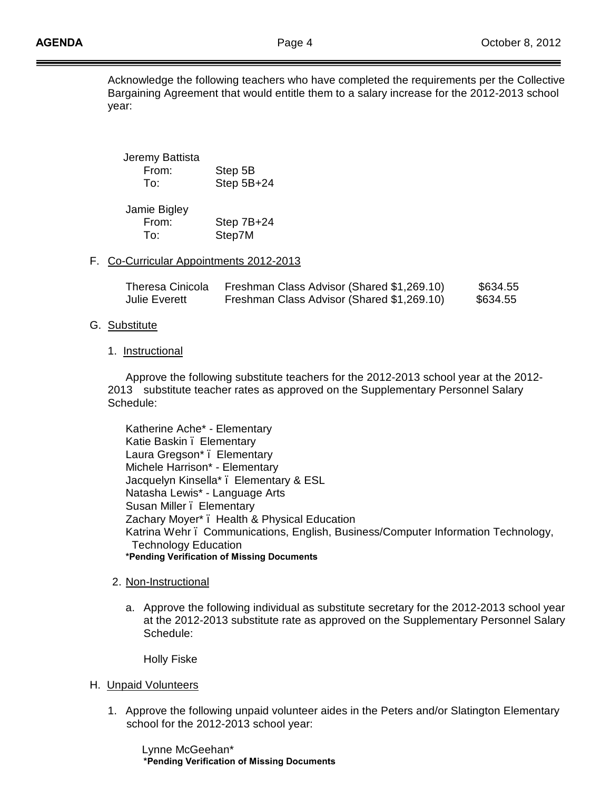Acknowledge the following teachers who have completed the requirements per the Collective Bargaining Agreement that would entitle them to a salary increase for the 2012-2013 school year:

| Jeremy Battista |            |
|-----------------|------------|
| From:           | Step 5B    |
| To:             | Step 5B+24 |
|                 |            |

| Step 7B+24 |
|------------|
| Step7M     |
|            |

## F. Co-Curricular Appointments 2012-2013

| Theresa Cinicola | Freshman Class Advisor (Shared \$1,269.10) | \$634.55 |
|------------------|--------------------------------------------|----------|
| Julie Everett    | Freshman Class Advisor (Shared \$1,269.10) | \$634.55 |

#### G. Substitute

1. Instructional

Approve the following substitute teachers for the 2012-2013 school year at the 2012- 2013 substitute teacher rates as approved on the Supplementary Personnel Salary Schedule:

Katherine Ache\* - Elementary Katie Baskin . Elementary Laura Gregson\* – Elementary Michele Harrison\* - Elementary Jacquelyn Kinsella\* – Elementary & ESL Natasha Lewis\* - Language Arts Susan Miller . Elementary Zachary Moyer\* – Health & Physical Education Katrina Wehr – Communications, English, Business/Computer Information Technology, Technology Education **\*Pending Verification of Missing Documents**

- 2. Non-Instructional
	- a. Approve the following individual as substitute secretary for the 2012-2013 school year at the 2012-2013 substitute rate as approved on the Supplementary Personnel Salary Schedule:

Holly Fiske

- H. Unpaid Volunteers
	- 1. Approve the following unpaid volunteer aides in the Peters and/or Slatington Elementary school for the 2012-2013 school year:

 Lynne McGeehan\* **\*Pending Verification of Missing Documents**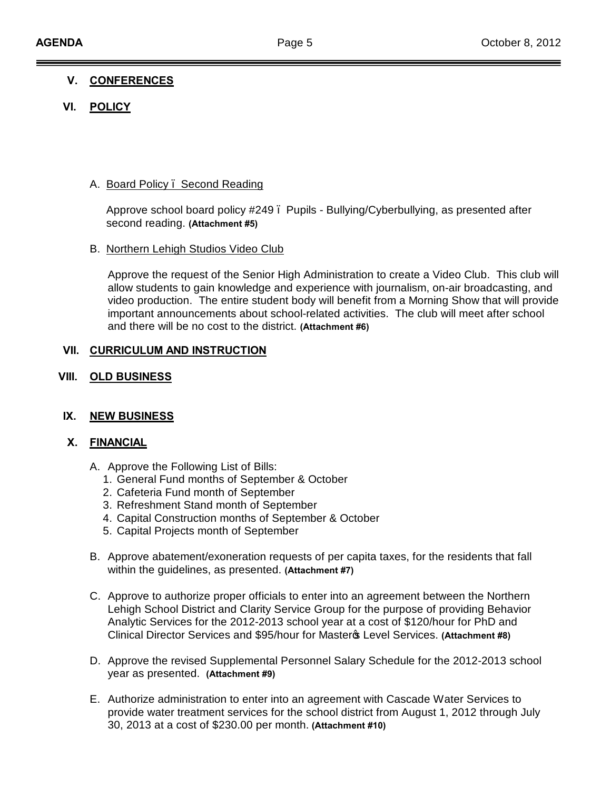# **V. CONFERENCES**

# **VI. POLICY**

## A. Board Policy – Second Reading

Approve school board policy #249 – Pupils - Bullying/Cyberbullying, as presented after second reading. **(Attachment #5)**

#### B. Northern Lehigh Studios Video Club

Approve the request of the Senior High Administration to create a Video Club. This club will allow students to gain knowledge and experience with journalism, on-air broadcasting, and video production. The entire student body will benefit from a Morning Show that will provide important announcements about school-related activities. The club will meet after school and there will be no cost to the district. **(Attachment #6)**

#### **VII. CURRICULUM AND INSTRUCTION**

**VIII. OLD BUSINESS**

## **IX. NEW BUSINESS**

#### **X. FINANCIAL**

- A. Approve the Following List of Bills:
	- 1. General Fund months of September & October
	- 2. Cafeteria Fund month of September
	- 3. Refreshment Stand month of September
	- 4. Capital Construction months of September & October
	- 5. Capital Projects month of September
- B. Approve abatement/exoneration requests of per capita taxes, for the residents that fall within the guidelines, as presented. **(Attachment #7)**
- C. Approve to authorize proper officials to enter into an agreement between the Northern Lehigh School District and Clarity Service Group for the purpose of providing Behavior Analytic Services for the 2012-2013 school year at a cost of \$120/hour for PhD and Clinical Director Services and \$95/hour for Master's Level Services. **(Attachment #8)**
- D. Approve the revised Supplemental Personnel Salary Schedule for the 2012-2013 school year as presented. **(Attachment #9)**
- E. Authorize administration to enter into an agreement with Cascade Water Services to provide water treatment services for the school district from August 1, 2012 through July 30, 2013 at a cost of \$230.00 per month. **(Attachment #10)**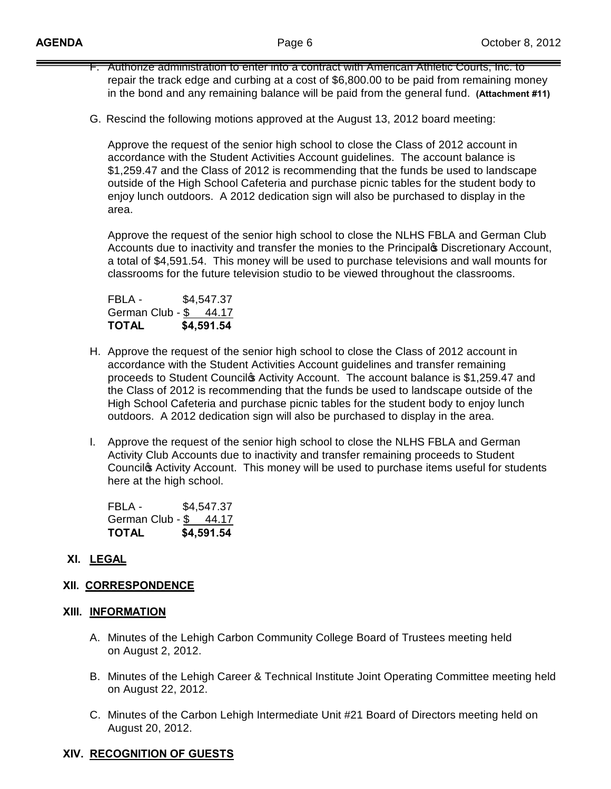- F. Authorize administration to enter into a contract with American Athletic Courts, Inc. to repair the track edge and curbing at a cost of \$6,800.00 to be paid from remaining money in the bond and any remaining balance will be paid from the general fund. **(Attachment #11)**
- G. Rescind the following motions approved at the August 13, 2012 board meeting:

Approve the request of the senior high school to close the Class of 2012 account in accordance with the Student Activities Account guidelines. The account balance is \$1,259.47 and the Class of 2012 is recommending that the funds be used to landscape outside of the High School Cafeteria and purchase picnic tables for the student body to enjoy lunch outdoors. A 2012 dedication sign will also be purchased to display in the area.

Approve the request of the senior high school to close the NLHS FBLA and German Club Accounts due to inactivity and transfer the monies to the Principal op Discretionary Account, a total of \$4,591.54. This money will be used to purchase televisions and wall mounts for classrooms for the future television studio to be viewed throughout the classrooms.

FBLA - \$4,547.37 German Club - \$ 44.17 **TOTAL \$4,591.54**

- H. Approve the request of the senior high school to close the Class of 2012 account in accordance with the Student Activities Account guidelines and transfer remaining proceeds to Student Council p Activity Account. The account balance is \$1,259.47 and the Class of 2012 is recommending that the funds be used to landscape outside of the High School Cafeteria and purchase picnic tables for the student body to enjoy lunch outdoors. A 2012 dedication sign will also be purchased to display in the area.
- I. Approve the request of the senior high school to close the NLHS FBLA and German Activity Club Accounts due to inactivity and transfer remaining proceeds to Student Council<sup>®</sup> Activity Account. This money will be used to purchase items useful for students here at the high school.

FBLA - \$4,547.37 German Club - \$ 44.17 **TOTAL \$4,591.54**

# **XI. LEGAL**

## **XII. CORRESPONDENCE**

## **XIII. INFORMATION**

- A. Minutes of the Lehigh Carbon Community College Board of Trustees meeting held on August 2, 2012.
- B. Minutes of the Lehigh Career & Technical Institute Joint Operating Committee meeting held on August 22, 2012.
- C. Minutes of the Carbon Lehigh Intermediate Unit #21 Board of Directors meeting held on August 20, 2012.

# **XIV. RECOGNITION OF GUESTS**